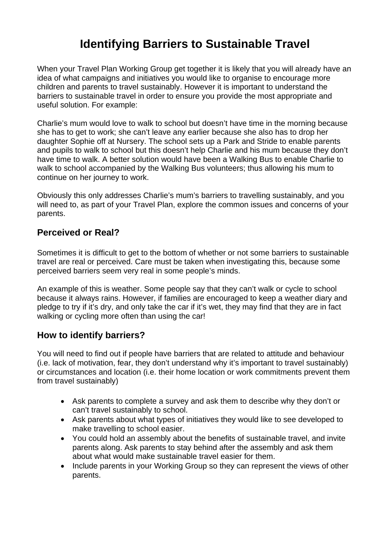## **Identifying Barriers to Sustainable Travel**

When your Travel Plan Working Group get together it is likely that you will already have an idea of what campaigns and initiatives you would like to organise to encourage more children and parents to travel sustainably. However it is important to understand the barriers to sustainable travel in order to ensure you provide the most appropriate and useful solution. For example:

Charlie's mum would love to walk to school but doesn't have time in the morning because she has to get to work; she can't leave any earlier because she also has to drop her daughter Sophie off at Nursery. The school sets up a Park and Stride to enable parents and pupils to walk to school but this doesn't help Charlie and his mum because they don't have time to walk. A better solution would have been a Walking Bus to enable Charlie to walk to school accompanied by the Walking Bus volunteers; thus allowing his mum to continue on her journey to work.

Obviously this only addresses Charlie's mum's barriers to travelling sustainably, and you will need to, as part of your Travel Plan, explore the common issues and concerns of your parents.

## **Perceived or Real?**

Sometimes it is difficult to get to the bottom of whether or not some barriers to sustainable travel are real or perceived. Care must be taken when investigating this, because some perceived barriers seem very real in some people's minds.

An example of this is weather. Some people say that they can't walk or cycle to school because it always rains. However, if families are encouraged to keep a weather diary and pledge to try if it's dry, and only take the car if it's wet, they may find that they are in fact walking or cycling more often than using the car!

## **How to identify barriers?**

You will need to find out if people have barriers that are related to attitude and behaviour (i.e. lack of motivation, fear, they don't understand why it's important to travel sustainably) or circumstances and location (i.e. their home location or work commitments prevent them from travel sustainably)

- Ask parents to complete a survey and ask them to describe why they don't or can't travel sustainably to school.
- Ask parents about what types of initiatives they would like to see developed to make travelling to school easier.
- You could hold an assembly about the benefits of sustainable travel, and invite parents along. Ask parents to stay behind after the assembly and ask them about what would make sustainable travel easier for them.
- Include parents in your Working Group so they can represent the views of other parents.